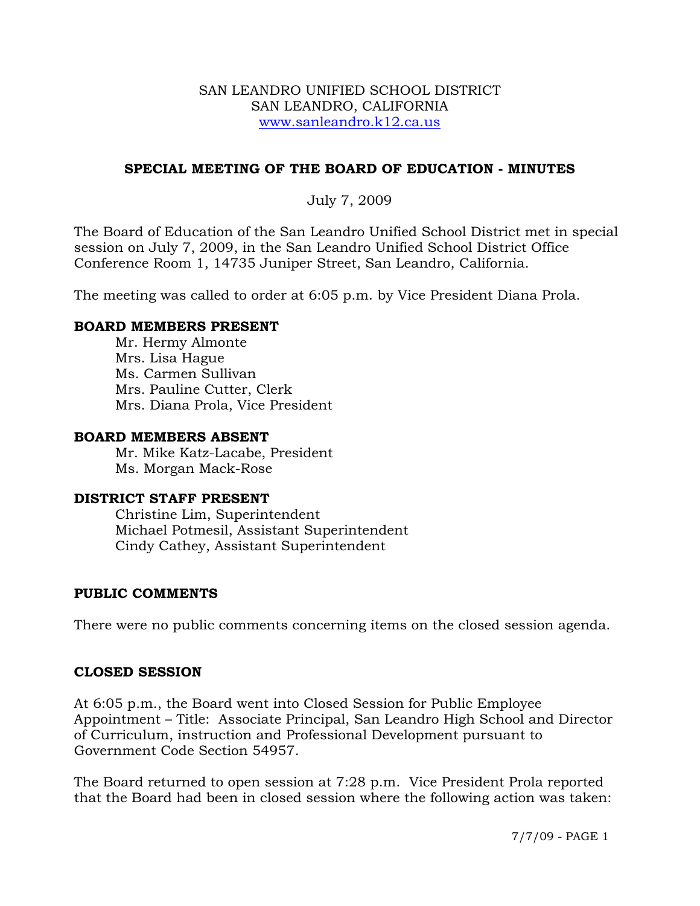#### SAN LEANDRO UNIFIED SCHOOL DISTRICT SAN LEANDRO, CALIFORNIA www.sanleandro.k12.ca.us

## **SPECIAL MEETING OF THE BOARD OF EDUCATION - MINUTES**

## July 7, 2009

The Board of Education of the San Leandro Unified School District met in special session on July 7, 2009, in the San Leandro Unified School District Office Conference Room 1, 14735 Juniper Street, San Leandro, California.

The meeting was called to order at 6:05 p.m. by Vice President Diana Prola.

### **BOARD MEMBERS PRESENT**

Mr. Hermy Almonte Mrs. Lisa Hague Ms. Carmen Sullivan Mrs. Pauline Cutter, Clerk Mrs. Diana Prola, Vice President

#### **BOARD MEMBERS ABSENT**

Mr. Mike Katz-Lacabe, President Ms. Morgan Mack-Rose

#### **DISTRICT STAFF PRESENT**

Christine Lim, Superintendent Michael Potmesil, Assistant Superintendent Cindy Cathey, Assistant Superintendent

#### **PUBLIC COMMENTS**

There were no public comments concerning items on the closed session agenda.

#### **CLOSED SESSION**

At 6:05 p.m., the Board went into Closed Session for Public Employee Appointment – Title: Associate Principal, San Leandro High School and Director of Curriculum, instruction and Professional Development pursuant to Government Code Section 54957.

The Board returned to open session at 7:28 p.m. Vice President Prola reported that the Board had been in closed session where the following action was taken: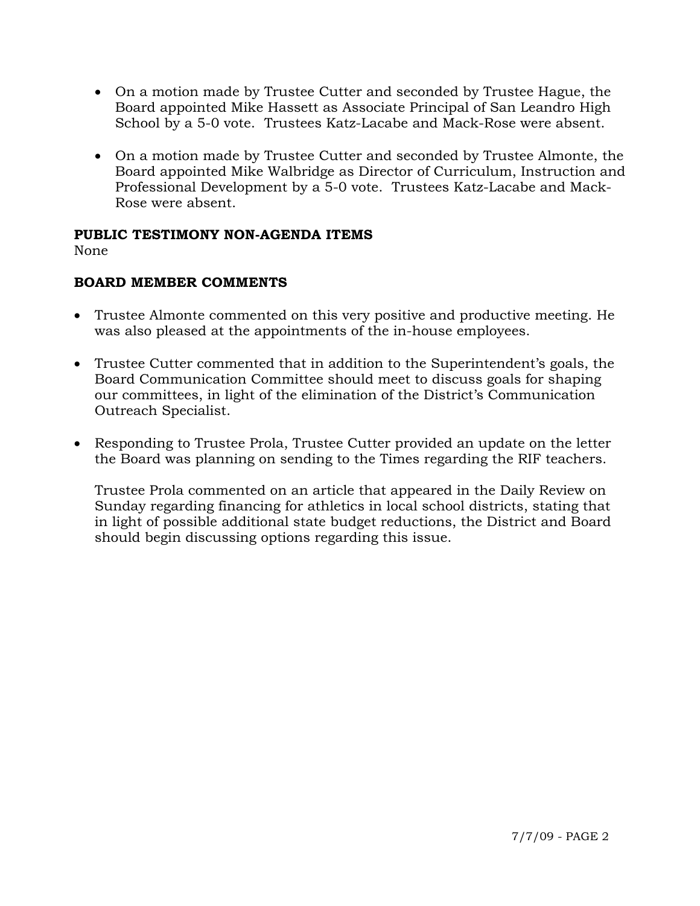- On a motion made by Trustee Cutter and seconded by Trustee Hague, the Board appointed Mike Hassett as Associate Principal of San Leandro High School by a 5-0 vote. Trustees Katz-Lacabe and Mack-Rose were absent.
- On a motion made by Trustee Cutter and seconded by Trustee Almonte, the Board appointed Mike Walbridge as Director of Curriculum, Instruction and Professional Development by a 5-0 vote. Trustees Katz-Lacabe and Mack-Rose were absent.

## **PUBLIC TESTIMONY NON-AGENDA ITEMS**

None

# **BOARD MEMBER COMMENTS**

- Trustee Almonte commented on this very positive and productive meeting. He was also pleased at the appointments of the in-house employees.
- Trustee Cutter commented that in addition to the Superintendent's goals, the Board Communication Committee should meet to discuss goals for shaping our committees, in light of the elimination of the District's Communication Outreach Specialist.
- Responding to Trustee Prola, Trustee Cutter provided an update on the letter the Board was planning on sending to the Times regarding the RIF teachers.

Trustee Prola commented on an article that appeared in the Daily Review on Sunday regarding financing for athletics in local school districts, stating that in light of possible additional state budget reductions, the District and Board should begin discussing options regarding this issue.